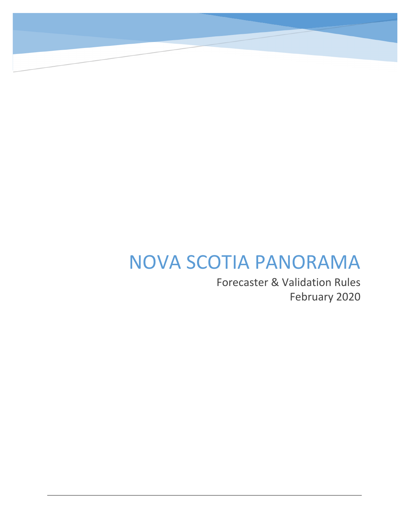# NOVA SCOTIA PANORAMA

NO

Forecaster & Validation Rules February 2020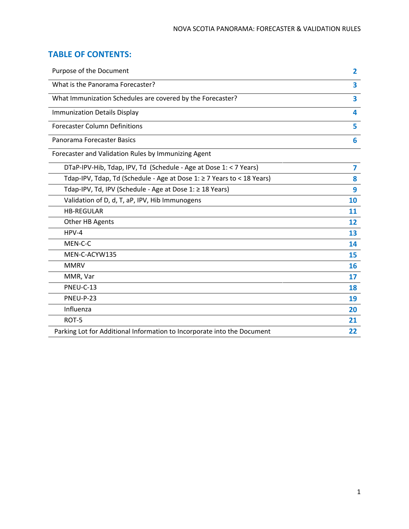# **TABLE OF CONTENTS:**

| Purpose of the Document                                                 | $\overline{\mathbf{2}}$ |
|-------------------------------------------------------------------------|-------------------------|
| What is the Panorama Forecaster?                                        | 3                       |
| What Immunization Schedules are covered by the Forecaster?              | $\overline{\mathbf{3}}$ |
| <b>Immunization Details Display</b>                                     | 4                       |
| <b>Forecaster Column Definitions</b>                                    | 5                       |
| Panorama Forecaster Basics                                              | 6                       |
| Forecaster and Validation Rules by Immunizing Agent                     |                         |
| DTaP-IPV-Hib, Tdap, IPV, Td (Schedule - Age at Dose 1: < 7 Years)       | $\overline{\mathbf{z}}$ |
| Tdap-IPV, Tdap, Td (Schedule - Age at Dose 1: ≥ 7 Years to < 18 Years)  | 8                       |
| Tdap-IPV, Td, IPV (Schedule - Age at Dose 1: ≥ 18 Years)                | 9                       |
| Validation of D, d, T, aP, IPV, Hib Immunogens                          | 10                      |
| <b>HB-REGULAR</b>                                                       | 11                      |
| Other HB Agents                                                         | 12                      |
| $HPV-4$                                                                 | 13                      |
| MEN-C-C                                                                 | 14                      |
| MEN-C-ACYW135                                                           | 15                      |
| <b>MMRV</b>                                                             | 16                      |
| MMR, Var                                                                | 17                      |
| PNEU-C-13                                                               | 18                      |
| PNEU-P-23                                                               | 19                      |
| Influenza                                                               | 20                      |
| ROT-5                                                                   | 21                      |
| Parking Lot for Additional Information to Incorporate into the Document | 22                      |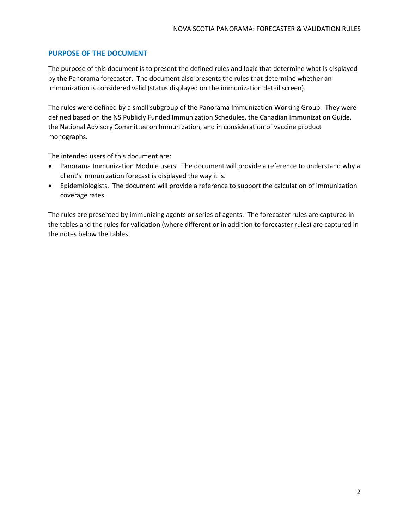# **PURPOSE OF THE DOCUMENT**

The purpose of this document is to present the defined rules and logic that determine what is displayed by the Panorama forecaster. The document also presents the rules that determine whether an immunization is considered valid (status displayed on the immunization detail screen).

The rules were defined by a small subgroup of the Panorama Immunization Working Group. They were defined based on the NS Publicly Funded Immunization Schedules, the Canadian Immunization Guide, the National Advisory Committee on Immunization, and in consideration of vaccine product monographs.

The intended users of this document are:

- Panorama Immunization Module users. The document will provide a reference to understand why a client's immunization forecast is displayed the way it is.
- Epidemiologists. The document will provide a reference to support the calculation of immunization coverage rates.

The rules are presented by immunizing agents or series of agents. The forecaster rules are captured in the tables and the rules for validation (where different or in addition to forecaster rules) are captured in the notes below the tables.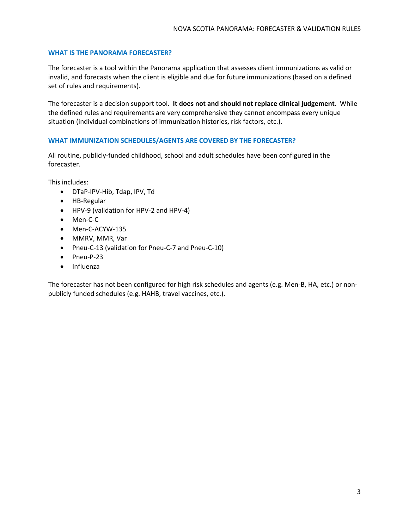# **WHAT IS THE PANORAMA FORECASTER?**

The forecaster is a tool within the Panorama application that assesses client immunizations as valid or invalid, and forecasts when the client is eligible and due for future immunizations (based on a defined set of rules and requirements).

The forecaster is a decision support tool. **It does not and should not replace clinical judgement.** While the defined rules and requirements are very comprehensive they cannot encompass every unique situation (individual combinations of immunization histories, risk factors, etc.).

# **WHAT IMMUNIZATION SCHEDULES/AGENTS ARE COVERED BY THE FORECASTER?**

All routine, publicly-funded childhood, school and adult schedules have been configured in the forecaster.

This includes:

- DTaP-IPV-Hib, Tdap, IPV, Td
- HB-Regular
- HPV-9 (validation for HPV-2 and HPV-4)
- Men-C-C
- Men-C-ACYW-135
- MMRV, MMR, Var
- Pneu-C-13 (validation for Pneu-C-7 and Pneu-C-10)
- Pneu-P-23
- Influenza

The forecaster has not been configured for high risk schedules and agents (e.g. Men-B, HA, etc.) or nonpublicly funded schedules (e.g. HAHB, travel vaccines, etc.).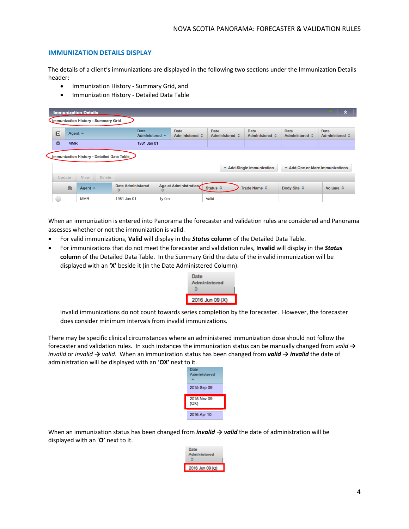### **IMMUNIZATION DETAILS DISPLAY**

The details of a client's immunizations are displayed in the following two sections under the Immunization Details header:

- Immunization History Summary Grid, and
- Immunization History Detailed Data Table

|                                                            |                                            |                   | <b>Immunization Details</b> |                                         |                               |                           |                       |                               |                                      | A                             |  |
|------------------------------------------------------------|--------------------------------------------|-------------------|-----------------------------|-----------------------------------------|-------------------------------|---------------------------|-----------------------|-------------------------------|--------------------------------------|-------------------------------|--|
|                                                            | <b>Jmmunization History - Summary Grid</b> |                   |                             |                                         |                               |                           |                       |                               |                                      |                               |  |
|                                                            | 回                                          | Agent $\triangle$ |                             | <b>Date</b><br>Administered $\triangle$ | <b>Date</b><br>Administered ☆ | Date                      | <b>Administered ☆</b> | Date<br><b>Administered ☆</b> | <b>Date</b><br><b>Administered ☆</b> | <b>Date</b><br>Administered ☆ |  |
|                                                            | $\bullet$<br><b>MMR</b>                    |                   | 1981 Jan 01                 |                                         |                               |                           |                       |                               |                                      |                               |  |
|                                                            | Immunization History - Detailed Data Table |                   |                             |                                         |                               |                           |                       |                               |                                      |                               |  |
| Add One or More Immunizations<br>▼ Add Single Immunization |                                            |                   |                             |                                         |                               |                           |                       |                               |                                      |                               |  |
|                                                            | <b>Delete</b><br>Update<br><b>View</b>     |                   |                             |                                         |                               |                           |                       |                               |                                      |                               |  |
|                                                            |                                            | B                 | Agent $\triangle$           | <b>Date Administered</b><br>≎           | Age at Administration<br>٥    | Status $\hat{\mathbf{v}}$ |                       | Trade Name $\hat{\vee}$       | Body Site $\hat{\mathbf{v}}$         | Volume $\hat{v}$              |  |
|                                                            |                                            |                   | <b>MMR</b>                  | 1981 Jan 01                             | 1y 0m                         | Valid                     |                       |                               |                                      |                               |  |

When an immunization is entered into Panorama the forecaster and validation rules are considered and Panorama assesses whether or not the immunization is valid.

- For valid immunizations, **Valid** will display in the *Status* **column** of the Detailed Data Table.
- For immunizations that do not meet the forecaster and validation rules, **Invalid** will display in the *Status* **column** of the Detailed Data Table. In the Summary Grid the date of the invalid immunization will be displayed with an **'X'** beside it (in the Date Administered Column).



Invalid immunizations do not count towards series completion by the forecaster. However, the forecaster does consider minimum intervals from invalid immunizations.

There may be specific clinical circumstances where an administered immunization dose should not follow the forecaster and validation rules. In such instances the immunization status can be manually changed from *valid → invalid* or *invalid → valid*. When an immunization status has been changed from *valid → invalid* the date of administration will be displayed with an '**OX'** next to it.



When an immunization status has been changed from *invalid → valid* the date of administration will be displayed with an '**O'** next to it.

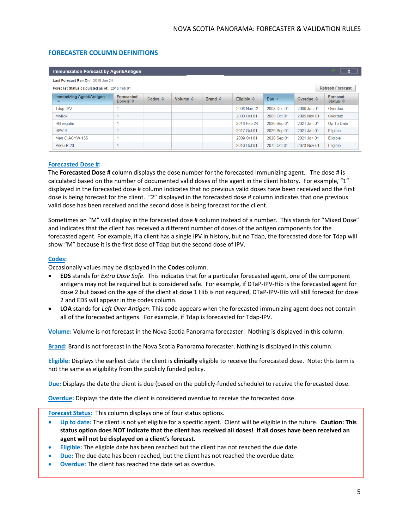# **FORECASTER COLUMN DEFINITIONS**

| <b>Immunization Forecast by Agent/Antigen</b><br>$\triangleright$ |                                 |                         |                          |                         |                     |                 |                         |                               |
|-------------------------------------------------------------------|---------------------------------|-------------------------|--------------------------|-------------------------|---------------------|-----------------|-------------------------|-------------------------------|
| Last Forecast Ran On: 2018 Jan 24                                 |                                 |                         |                          |                         |                     |                 |                         |                               |
| Forecast Status calculated as of: 2018 Feb 01                     |                                 |                         |                          |                         |                     |                 | <b>Refresh Forecast</b> |                               |
| Immunizing Agent/Antigen<br>$\blacktriangle$                      | Forecasted<br>Dose # $\Diamond$ | Codes $\Leftrightarrow$ | Volume $\Leftrightarrow$ | Brand $\Leftrightarrow$ | Eligible $\diamond$ | Due $\triangle$ | Overdue $\diamond$      | Forecast<br>Status $\diamond$ |
| Tdap-IPV                                                          |                                 |                         |                          |                         | 2008 Nov 12         | 2008 Dec 01     | 2009 Jan 01             | Overdue                       |
| <b>MMRV</b>                                                       |                                 |                         |                          |                         | 2009 Oct 01         | 2009 Oct 01     | 2009 Nov 01             | Overdue                       |
| <b>HB-regular</b>                                                 |                                 |                         |                          |                         | 2018 Feb 24         | 2020 Sep 01     | 2021 Jan 01             | Up To Date                    |
| $HPV-4$                                                           |                                 |                         |                          |                         | 2017 Oct 01         | 2020 Sep 01     | 2021 Jan 01             | Eligible                      |
| Men-C-ACYW-135                                                    |                                 |                         |                          |                         | 2009 Oct 01         | 2020 Sep 01     | 2021 Jan 01             | Eligible                      |
| Pneu-P-23                                                         |                                 |                         |                          |                         | 2010 Oct 01         | 2073 Oct 01     | 2073 Nov 01             | Eligible                      |

### **Forecasted Dose #:**

The **Forecasted Dose #** column displays the dose number for the forecasted immunizing agent. The dose # is calculated based on the number of documented valid doses of the agent in the client history. For example, "1" displayed in the forecasted dose # column indicates that no previous valid doses have been received and the first dose is being forecast for the client. "2" displayed in the forecasted dose # column indicates that one previous valid dose has been received and the second dose is being forecast for the client.

Sometimes an "M" will display in the forecasted dose # column instead of a number. This stands for "Mixed Dose" and indicates that the client has received a different number of doses of the antigen components for the forecasted agent. For example, if a client has a single IPV in history, but no Tdap, the forecasted dose for Tdap will show "M" because it is the first dose of Tdap but the second dose of IPV.

#### **Codes:**

Occasionally values may be displayed in the **Codes** column.

- **EDS** stands for *Extra Dose Safe*. This indicates that for a particular forecasted agent, one of the component antigens may not be required but is considered safe. For example, if DTaP-IPV-Hib is the forecasted agent for dose 2 but based on the age of the client at dose 1 Hib is not required, DTaP-IPV-Hib will still forecast for dose 2 and EDS will appear in the codes column.
- **LOA** stands for *Left Over Antigen*. This code appears when the forecasted immunizing agent does not contain all of the forecasted antigens. For example, if Tdap is forecasted for Tdap-IPV.

**Volume:** Volume is not forecast in the Nova Scotia Panorama forecaster. Nothing is displayed in this column.

**Brand:** Brand is not forecast in the Nova Scotia Panorama forecaster. Nothing is displayed in this column.

**Eligible:** Displays the earliest date the client is **clinically** eligible to receive the forecasted dose. Note: this term is not the same as eligibility from the publicly funded policy.

**Due:** Displays the date the client is due (based on the publicly-funded schedule) to receive the forecasted dose.

**Overdue:** Displays the date the client is considered overdue to receive the forecasted dose.

**Forecast Status:** This column displays one of four status options.

- **Up to date:** The client is not yet eligible for a specific agent. Client will be eligible in the future. **Caution: This status option does NOT indicate that the client has received all doses! If all doses have been received an agent will not be displayed on a client's forecast.**
- **Eligible:** The eligible date has been reached but the client has not reached the due date.
- **Due:** The due date has been reached, but the client has not reached the overdue date.
- **Overdue:** The client has reached the date set as overdue.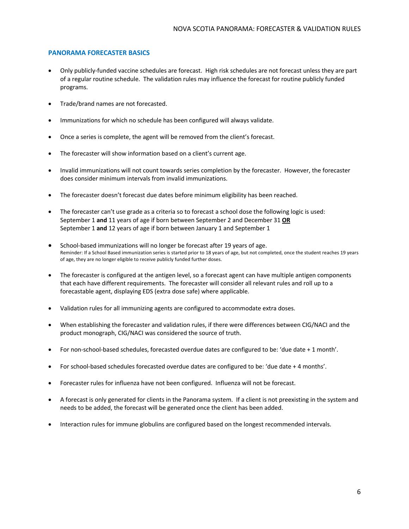### **PANORAMA FORECASTER BASICS**

- Only publicly-funded vaccine schedules are forecast. High risk schedules are not forecast unless they are part of a regular routine schedule. The validation rules may influence the forecast for routine publicly funded programs.
- Trade/brand names are not forecasted.
- Immunizations for which no schedule has been configured will always validate.
- Once a series is complete, the agent will be removed from the client's forecast.
- The forecaster will show information based on a client's current age.
- Invalid immunizations will not count towards series completion by the forecaster. However, the forecaster does consider minimum intervals from invalid immunizations.
- The forecaster doesn't forecast due dates before minimum eligibility has been reached.
- The forecaster can't use grade as a criteria so to forecast a school dose the following logic is used: September 1 **and** 11 years of age if born between September 2 and December 31 **OR** September 1 **and** 12 years of age if born between January 1 and September 1
- School-based immunizations will no longer be forecast after 19 years of age. Reminder: If a School Based immunization series is started prior to 18 years of age, but not completed, once the student reaches 19 years of age, they are no longer eligible to receive publicly funded further doses.
- The forecaster is configured at the antigen level, so a forecast agent can have multiple antigen components that each have different requirements. The forecaster will consider all relevant rules and roll up to a forecastable agent, displaying EDS (extra dose safe) where applicable.
- Validation rules for all immunizing agents are configured to accommodate extra doses.
- When establishing the forecaster and validation rules, if there were differences between CIG/NACI and the product monograph, CIG/NACI was considered the source of truth.
- For non-school-based schedules, forecasted overdue dates are configured to be: 'due date + 1 month'.
- For school-based schedules forecasted overdue dates are configured to be: 'due date + 4 months'.
- Forecaster rules for influenza have not been configured. Influenza will not be forecast.
- A forecast is only generated for clients in the Panorama system. If a client is not preexisting in the system and needs to be added, the forecast will be generated once the client has been added.
- Interaction rules for immune globulins are configured based on the longest recommended intervals.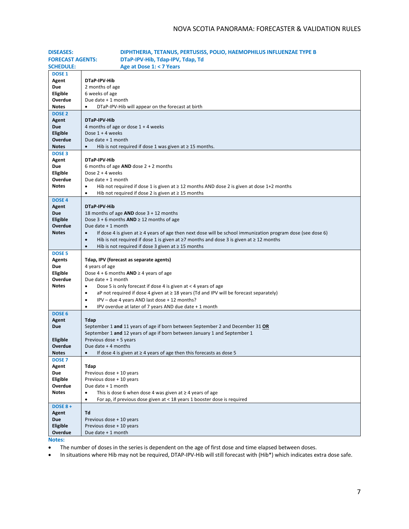| <b>DISEASES:</b>        | DIPHTHERIA, TETANUS, PERTUSISS, POLIO, HAEMOPHILUS INFLUENZAE TYPE B                                                                                        |
|-------------------------|-------------------------------------------------------------------------------------------------------------------------------------------------------------|
| <b>FORECAST AGENTS:</b> | DTaP-IPV-Hib, Tdap-IPV, Tdap, Td                                                                                                                            |
| <b>SCHEDULE:</b>        | Age at Dose 1: < 7 Years                                                                                                                                    |
| <b>DOSE 1</b>           |                                                                                                                                                             |
| Agent                   | DTaP-IPV-Hib                                                                                                                                                |
| Due                     | 2 months of age                                                                                                                                             |
| Eligible                | 6 weeks of age                                                                                                                                              |
| Overdue                 | Due date + 1 month                                                                                                                                          |
| <b>Notes</b>            | DTaP-IPV-Hib will appear on the forecast at birth                                                                                                           |
| <b>DOSE 2</b>           |                                                                                                                                                             |
| Agent                   | DTaP-IPV-Hib                                                                                                                                                |
| <b>Due</b>              | 4 months of age or dose $1 + 4$ weeks                                                                                                                       |
| Eligible                | Dose $1 + 4$ weeks                                                                                                                                          |
| Overdue                 | Due date + 1 month                                                                                                                                          |
| <b>Notes</b>            | Hib is not required if dose 1 was given at $\geq$ 15 months.                                                                                                |
| <b>DOSE 3</b>           |                                                                                                                                                             |
| Agent                   | DTaP-IPV-Hib                                                                                                                                                |
| Due                     | 6 months of age $AND$ dose $2 + 2$ months                                                                                                                   |
| Eligible                | Dose 2 + 4 weeks                                                                                                                                            |
| Overdue                 | Due date + 1 month                                                                                                                                          |
| <b>Notes</b>            | Hib not required if dose 1 is given at $\geq$ 12 months AND dose 2 is given at dose 1+2 months<br>$\bullet$                                                 |
|                         | Hib not required if dose 2 is given at $\geq$ 15 months<br>$\bullet$                                                                                        |
| <b>DOSE 4</b>           | DTaP-IPV-Hib                                                                                                                                                |
| Agent<br><b>Due</b>     | 18 months of age $AND$ dose $3 + 12$ months                                                                                                                 |
| Eligible                | Dose $3 + 6$ months AND $\geq 12$ months of age                                                                                                             |
| Overdue                 | Due date + 1 month                                                                                                                                          |
| <b>Notes</b>            | If dose 4 is given at $\geq 4$ years of age then next dose will be school immunization program dose (see dose 6)<br>$\bullet$                               |
|                         | Hib is not required if dose 1 is given at $\geq$ 7 months and dose 3 is given at $\geq$ 12 months<br>$\bullet$                                              |
|                         | Hib is not required if dose 3 given at $\geq$ 15 months<br>$\bullet$                                                                                        |
| DOSE <sub>5</sub>       |                                                                                                                                                             |
| <b>Agents</b>           | Tdap, IPV (forecast as separate agents)                                                                                                                     |
| Due                     | 4 years of age                                                                                                                                              |
| Eligible                | Dose $4 + 6$ months $AND \ge 4$ years of age                                                                                                                |
| Overdue                 | Due date + 1 month                                                                                                                                          |
| Notes                   | Dose 5 is only forecast if dose 4 is given at < 4 years of age<br>$\bullet$                                                                                 |
|                         | aP not required if dose 4 given at $\geq$ 18 years (Td and IPV will be forecast separately)<br>٠                                                            |
|                         | IPV - due 4 years AND last dose + 12 months?<br>$\bullet$                                                                                                   |
|                         | IPV overdue at later of 7 years AND due date + 1 month<br>$\bullet$                                                                                         |
| DOSE <sub>6</sub>       |                                                                                                                                                             |
| Agent                   | <b>Tdap</b>                                                                                                                                                 |
| <b>Due</b>              | September 1 and 11 years of age if born between September 2 and December 31 OR<br>September 1 and 12 years of age if born between January 1 and September 1 |
| Eligible                | Previous dose + 5 years                                                                                                                                     |
| Overdue                 | Due date $+4$ months                                                                                                                                        |
| <b>Notes</b>            | If dose 4 is given at $\geq 4$ years of age then this forecasts as dose 5<br>$\bullet$                                                                      |
| DOSE <sub>7</sub>       |                                                                                                                                                             |
| Agent                   | Tdap                                                                                                                                                        |
| <b>Due</b>              | Previous dose + 10 years                                                                                                                                    |
| Eligible                | Previous dose + 10 years                                                                                                                                    |
| Overdue                 | Due date + 1 month                                                                                                                                          |
| <b>Notes</b>            | This is dose 6 when dose 4 was given at $\geq 4$ years of age<br>٠                                                                                          |
|                         | For ap, if previous dose given at < 18 years 1 booster dose is required<br>$\bullet$                                                                        |
| <b>DOSE 8 +</b>         |                                                                                                                                                             |
| Agent                   | Td                                                                                                                                                          |
| Due                     | Previous dose + 10 years                                                                                                                                    |
| Eligible                | Previous dose + 10 years                                                                                                                                    |
| Overdue                 | Due date + 1 month                                                                                                                                          |

**Notes:**

• The number of doses in the series is dependent on the age of first dose and time elapsed between doses.

• In situations where Hib may not be required, DTAP-IPV-Hib will still forecast with (Hib\*) which indicates extra dose safe.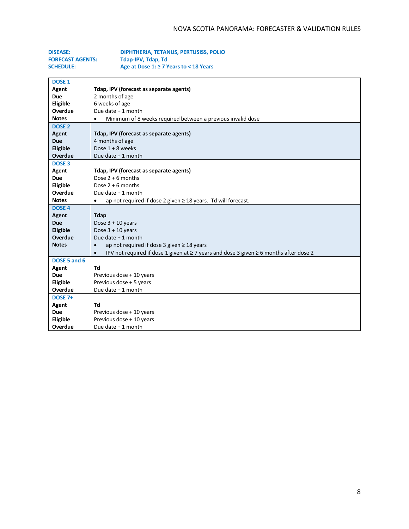| <b>DISEASE:</b>         | DIPHTHERIA, TETANUS, PERTUSISS, POLIO                                                                         |
|-------------------------|---------------------------------------------------------------------------------------------------------------|
| <b>FORECAST AGENTS:</b> | Tdap-IPV, Tdap, Td                                                                                            |
| <b>SCHEDULE:</b>        | Age at Dose 1: ≥ 7 Years to < 18 Years                                                                        |
|                         |                                                                                                               |
| <b>DOSE 1</b>           |                                                                                                               |
| Agent                   | Tdap, IPV (forecast as separate agents)                                                                       |
| <b>Due</b>              | 2 months of age                                                                                               |
| Eligible                | 6 weeks of age                                                                                                |
| Overdue                 | Due date + 1 month                                                                                            |
| <b>Notes</b>            | Minimum of 8 weeks required between a previous invalid dose<br>$\bullet$                                      |
| <b>DOSE 2</b>           |                                                                                                               |
| Agent                   | Tdap, IPV (forecast as separate agents)                                                                       |
| <b>Due</b>              | 4 months of age                                                                                               |
| <b>Eligible</b>         | Dose $1 + 8$ weeks                                                                                            |
| Overdue                 | Due date + 1 month                                                                                            |
| <b>DOSE 3</b>           |                                                                                                               |
| Agent                   | Tdap, IPV (forecast as separate agents)                                                                       |
| <b>Due</b>              | Dose $2 + 6$ months                                                                                           |
| Eligible                | Dose $2 + 6$ months                                                                                           |
| Overdue                 | Due date + 1 month                                                                                            |
| <b>Notes</b>            | ap not required if dose 2 given $\geq$ 18 years. Td will forecast.<br>$\bullet$                               |
| <b>DOSE 4</b>           |                                                                                                               |
| Agent                   | <b>Tdap</b>                                                                                                   |
| Due                     | Dose $3 + 10$ years                                                                                           |
| Eligible                | Dose $3 + 10$ years                                                                                           |
| Overdue                 | Due date + 1 month                                                                                            |
| <b>Notes</b>            | ap not required if dose 3 given $\geq 18$ years                                                               |
|                         | IPV not required if dose 1 given at $\geq$ 7 years and dose 3 given $\geq$ 6 months after dose 2<br>$\bullet$ |
| DOSE 5 and 6            |                                                                                                               |
| <b>Agent</b>            | Td                                                                                                            |
| <b>Due</b>              | Previous dose + 10 years                                                                                      |
| Eligible                | Previous dose + 5 years                                                                                       |
| Overdue                 | Due date + 1 month                                                                                            |
| <b>DOSE 7+</b>          |                                                                                                               |
| Agent                   | Td                                                                                                            |
| <b>Due</b>              | Previous dose + 10 years                                                                                      |
| Eligible                | Previous dose + 10 years                                                                                      |
| Overdue                 | Due date + 1 month                                                                                            |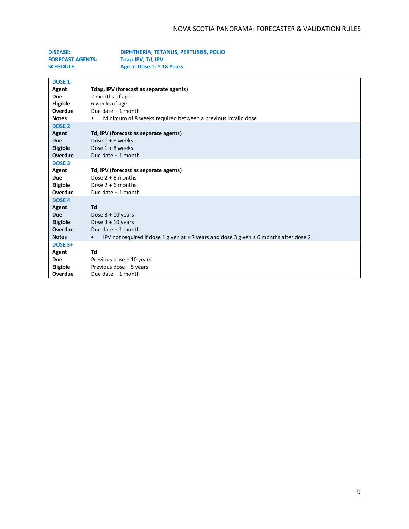| <b>DISEASE:</b>         | DIPHTHERIA, TETANUS, PERTUSISS, POLIO |
|-------------------------|---------------------------------------|
| <b>FORECAST AGENTS:</b> | Tdap-IPV, Td, IPV                     |
| <b>SCHEDULE:</b>        | Age at Dose 1: $\geq$ 18 Years        |

| <b>DOSE 1</b>     |                                                                                                               |
|-------------------|---------------------------------------------------------------------------------------------------------------|
| Agent             | Tdap, IPV (forecast as separate agents)                                                                       |
| Due               | 2 months of age                                                                                               |
| <b>Eligible</b>   | 6 weeks of age                                                                                                |
| Overdue           | Due date $+1$ month                                                                                           |
| <b>Notes</b>      | Minimum of 8 weeks required between a previous invalid dose                                                   |
| DOSE <sub>2</sub> |                                                                                                               |
| Agent             | Td, IPV (forecast as separate agents)                                                                         |
| <b>Due</b>        | Dose $1 + 8$ weeks                                                                                            |
| Eligible          | Dose $1 + 8$ weeks                                                                                            |
| Overdue           | Due date $+1$ month                                                                                           |
| <b>DOSE 3</b>     |                                                                                                               |
| Agent             | Td, IPV (forecast as separate agents)                                                                         |
| <b>Due</b>        | Dose $2 + 6$ months                                                                                           |
| <b>Eligible</b>   | Dose $2 + 6$ months                                                                                           |
| Overdue           | Due date $+1$ month                                                                                           |
| <b>DOSE 4</b>     |                                                                                                               |
| Agent             | Td                                                                                                            |
| <b>Due</b>        | Dose $3 + 10$ years                                                                                           |
| <b>Eligible</b>   | Dose $3 + 10$ years                                                                                           |
| Overdue           | Due date + 1 month                                                                                            |
| <b>Notes</b>      | IPV not required if dose 1 given at $\geq$ 7 years and dose 3 given $\geq$ 6 months after dose 2<br>$\bullet$ |
| <b>DOSE 5+</b>    |                                                                                                               |
| Agent             | Td                                                                                                            |
| Due               | Previous dose + 10 years                                                                                      |
| Eligible          | Previous dose + 5 years                                                                                       |
| Overdue           | Due date + 1 month                                                                                            |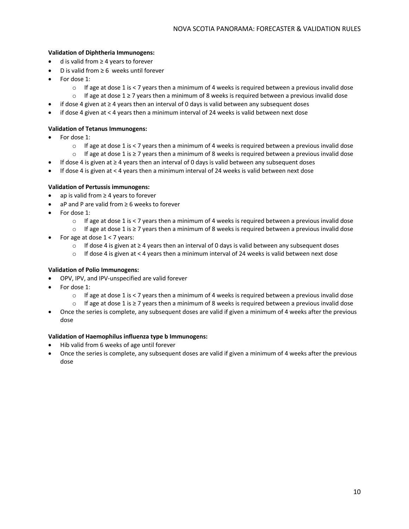# **Validation of Diphtheria Immunogens:**

- d is valid from ≥ 4 years to forever
- D is valid from  $\geq 6$  weeks until forever
- For dose 1:
	- $\circ$  If age at dose 1 is < 7 years then a minimum of 4 weeks is required between a previous invalid dose
	- o If age at dose 1 ≥ 7 years then a minimum of 8 weeks is required between a previous invalid dose
- if dose 4 given at ≥ 4 years then an interval of 0 days is valid between any subsequent doses
- if dose 4 given at < 4 years then a minimum interval of 24 weeks is valid between next dose

# **Validation of Tetanus Immunogens:**

- For dose 1:
	- $\circ$  If age at dose 1 is < 7 years then a minimum of 4 weeks is required between a previous invalid dose
	- o If age at dose 1 is ≥ 7 years then a minimum of 8 weeks is required between a previous invalid dose
	- If dose 4 is given at ≥ 4 years then an interval of 0 days is valid between any subsequent doses
- If dose 4 is given at < 4 years then a minimum interval of 24 weeks is valid between next dose

# **Validation of Pertussis immunogens:**

- ap is valid from ≥ 4 years to forever
- aP and P are valid from ≥ 6 weeks to forever
- For dose 1:
	- $\circ$  If age at dose 1 is < 7 years then a minimum of 4 weeks is required between a previous invalid dose
	- $\circ$  If age at dose 1 is ≥ 7 years then a minimum of 8 weeks is required between a previous invalid dose
- For age at dose  $1 < 7$  years:
	- o If dose 4 is given at ≥ 4 years then an interval of 0 days is valid between any subsequent doses
	- $\circ$  If dose 4 is given at < 4 years then a minimum interval of 24 weeks is valid between next dose

### **Validation of Polio Immunogens:**

- OPV, IPV, and IPV-unspecified are valid forever
- For dose 1:
	- $\circ$  If age at dose 1 is < 7 years then a minimum of 4 weeks is required between a previous invalid dose
	- o If age at dose 1 is ≥ 7 years then a minimum of 8 weeks is required between a previous invalid dose
- Once the series is complete, any subsequent doses are valid if given a minimum of 4 weeks after the previous dose

### **Validation of Haemophilus influenza type b Immunogens:**

- Hib valid from 6 weeks of age until forever
- Once the series is complete, any subsequent doses are valid if given a minimum of 4 weeks after the previous dose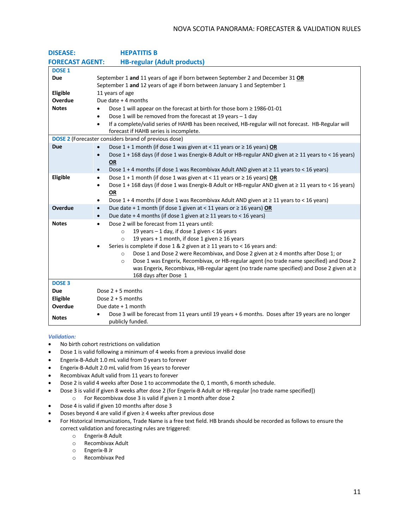| <b>DISEASE:</b>        | <b>HEPATITIS B</b>                                                                                                                                                                               |
|------------------------|--------------------------------------------------------------------------------------------------------------------------------------------------------------------------------------------------|
| <b>FORECAST AGENT:</b> | <b>HB-regular (Adult products)</b>                                                                                                                                                               |
| <b>DOSE 1</b>          |                                                                                                                                                                                                  |
| Due                    | September 1 and 11 years of age if born between September 2 and December 31 OR                                                                                                                   |
|                        | September 1 and 12 years of age if born between January 1 and September 1                                                                                                                        |
| Eligible               | 11 years of age                                                                                                                                                                                  |
| Overdue                | Due date $+$ 4 months                                                                                                                                                                            |
| <b>Notes</b>           | Dose 1 will appear on the forecast at birth for those born ≥ 1986-01-01<br>$\bullet$                                                                                                             |
|                        | Dose 1 will be removed from the forecast at 19 years $-1$ day<br>$\bullet$                                                                                                                       |
|                        | If a complete/valid series of HAHB has been received, HB-regular will not forecast. HB-Regular will<br>$\bullet$                                                                                 |
|                        | forecast if HAHB series is incomplete.                                                                                                                                                           |
|                        | <b>DOSE 2</b> (Forecaster considers brand of previous dose)                                                                                                                                      |
| <b>Due</b>             | Dose $1 + 1$ month (if dose 1 was given at < 11 years or $\geq 16$ years) OR<br>$\bullet$                                                                                                        |
|                        | Dose 1 + 168 days (if dose 1 was Energix-B Adult or HB-regular AND given at ≥ 11 years to < 16 years)<br>$\bullet$                                                                               |
|                        | <b>OR</b>                                                                                                                                                                                        |
|                        | Dose 1 + 4 months (if dose 1 was Recombivax Adult AND given at $\geq$ 11 years to < 16 years)<br>$\bullet$                                                                                       |
| Eligible               | Dose 1 + 1 month (if dose 1 was given at < 11 years or $\geq$ 16 years) OR<br>$\bullet$                                                                                                          |
|                        | Dose 1 + 168 days (if dose 1 was Energix-B Adult or HB-regular AND given at ≥ 11 years to < 16 years)<br>$\bullet$                                                                               |
|                        | OR                                                                                                                                                                                               |
|                        | Dose 1 + 4 months (if dose 1 was Recombivax Adult AND given at $\geq$ 11 years to < 16 years)<br>$\bullet$                                                                                       |
| Overdue                | Due date + 1 month (if dose 1 given at < 11 years or $\geq$ 16 years) OR<br>$\bullet$                                                                                                            |
|                        | Due date + 4 months (if dose 1 given at $\geq$ 11 years to < 16 years)<br>$\bullet$                                                                                                              |
| <b>Notes</b>           | Dose 2 will be forecast from 11 years until:<br>$\bullet$                                                                                                                                        |
|                        | 19 years - 1 day, if dose 1 given < 16 years<br>$\circ$                                                                                                                                          |
|                        | 19 years + 1 month, if dose 1 given $\geq$ 16 years<br>$\Omega$                                                                                                                                  |
|                        | Series is complete if dose 1 & 2 given at ≥ 11 years to < 16 years and:                                                                                                                          |
|                        | Dose 1 and Dose 2 were Recombivax, and Dose 2 given at ≥ 4 months after Dose 1; or<br>$\circ$                                                                                                    |
|                        | Dose 1 was Engerix, Recombivax, or HB-regular agent (no trade name specified) and Dose 2<br>$\circ$<br>was Engerix, Recombivax, HB-regular agent (no trade name specified) and Dose 2 given at ≥ |
|                        | 168 days after Dose 1                                                                                                                                                                            |
| <b>DOSE 3</b>          |                                                                                                                                                                                                  |
| <b>Due</b>             | Dose $2 + 5$ months                                                                                                                                                                              |
| Eligible               | Dose $2 + 5$ months                                                                                                                                                                              |
| Overdue                | Due date $+1$ month                                                                                                                                                                              |
|                        | Dose 3 will be forecast from 11 years until 19 years + 6 months. Doses after 19 years are no longer                                                                                              |
| <b>Notes</b>           | publicly funded.                                                                                                                                                                                 |
|                        |                                                                                                                                                                                                  |

- No birth cohort restrictions on validation
- Dose 1 is valid following a minimum of 4 weeks from a previous invalid dose
- Engerix-B-Adult 1.0 mL valid from 0 years to forever
- Engerix-B-Adult 2.0 mL valid from 16 years to forever
- Recombivax Adult valid from 11 years to forever
- Dose 2 is valid 4 weeks after Dose 1 to accommodate the 0, 1 month, 6 month schedule.
- Dose 3 is valid if given 8 weeks after dose 2 (for Engerix-B Adult or HB-regular [no trade name specified])
	- o For Recombivax dose 3 is valid if given ≥ 1 month after dose 2
- Dose 4 is valid if given 10 months after dose 3
- Doses beyond 4 are valid if given ≥ 4 weeks after previous dose
- For Historical Immunizations, Trade Name is a free text field. HB brands should be recorded as follows to ensure the correct validation and forecasting rules are triggered:
	- o Engerix-B Adult
	- o Recombivax Adult
	- o Engerix-B Jr
	- o Recombivax Ped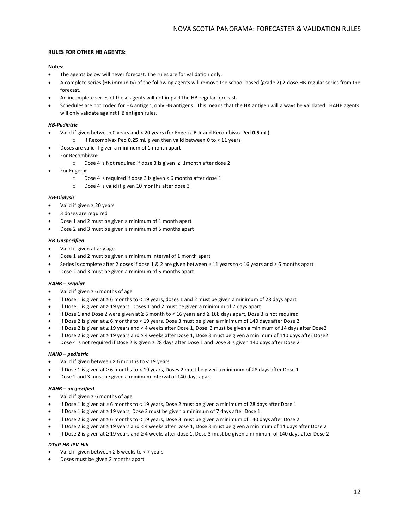#### **RULES FOR OTHER HB AGENTS:**

#### **Notes:**

- The agents below will never forecast. The rules are for validation only.
- A complete series (HB immunity) of the following agents will remove the school-based (grade 7) 2-dose HB-regular series from the forecast.
- An incomplete series of these agents will not impact the HB-regular forecast**.**
- Schedules are not coded for HA antigen, only HB antigens. This means that the HA antigen will always be validated. HAHB agents will only validate against HB antigen rules.

#### *HB-Pediatric*

- Valid if given between 0 years and < 20 years (for Engerix-B Jr and Recombivax Ped **0.5** mL)
- o If Recombivax Ped **0.25** mL given then valid between 0 to < 11 years
- Doses are valid if given a minimum of 1 month apart
- For Recombivax:
	- o Dose 4 is Not required if dose 3 is given ≥ 1month after dose 2
- For Engerix:
	- o Dose 4 is required if dose 3 is given < 6 months after dose 1
	- o Dose 4 is valid if given 10 months after dose 3

#### *HB-Dialysis*

- Valid if given ≥ 20 years
- 3 doses are required
- Dose 1 and 2 must be given a minimum of 1 month apart
- Dose 2 and 3 must be given a minimum of 5 months apart

#### *HB-Unspecified*

- Valid if given at any age
- Dose 1 and 2 must be given a minimum interval of 1 month apart
- Series is complete after 2 doses if dose 1 & 2 are given between ≥ 11 years to < 16 years and ≥ 6 months apart
- Dose 2 and 3 must be given a minimum of 5 months apart

#### *HAHB – regular*

- Valid if given ≥ 6 months of age
- If Dose 1 is given at ≥ 6 months to < 19 years, doses 1 and 2 must be given a minimum of 28 days apart
- If Dose 1 is given at ≥ 19 years, Doses 1 and 2 must be given a minimum of 7 days apart
- If Dose 1 and Dose 2 were given at ≥ 6 month to < 16 years and ≥ 168 days apart, Dose 3 is not required
- If Dose 2 is given at ≥ 6 months to < 19 years, Dose 3 must be given a minimum of 140 days after Dose 2
- If Dose 2 is given at ≥ 19 years and < 4 weeks after Dose 1, Dose 3 must be given a minimum of 14 days after Dose2
- If Dose 2 is given at ≥ 19 years and ≥ 4 weeks after Dose 1, Dose 3 must be given a minimum of 140 days after Dose2
- Dose 4 is not required if Dose 2 is given ≥ 28 days after Dose 1 and Dose 3 is given 140 days after Dose 2

#### *HAHB – pediatric*

- Valid if given between ≥ 6 months to < 19 years
- If Dose 1 is given at ≥ 6 months to < 19 years, Doses 2 must be given a minimum of 28 days after Dose 1
- Dose 2 and 3 must be given a minimum interval of 140 days apart

#### *HAHB – unspecified*

- Valid if given ≥ 6 months of age
- If Dose 1 is given at ≥ 6 months to < 19 years, Dose 2 must be given a minimum of 28 days after Dose 1
- If Dose 1 is given at ≥ 19 years, Dose 2 must be given a minimum of 7 days after Dose 1
- If Dose 2 is given at ≥ 6 months to < 19 years, Dose 3 must be given a minimum of 140 days after Dose 2
- If Dose 2 is given at ≥ 19 years and < 4 weeks after Dose 1, Dose 3 must be given a minimum of 14 days after Dose 2
- If Dose 2 is given at ≥ 19 years and ≥ 4 weeks after dose 1, Dose 3 must be given a minimum of 140 days after Dose 2

#### *DTaP-HB-IPV-Hib*

- Valid if given between ≥ 6 weeks to < 7 years
- Doses must be given 2 months apart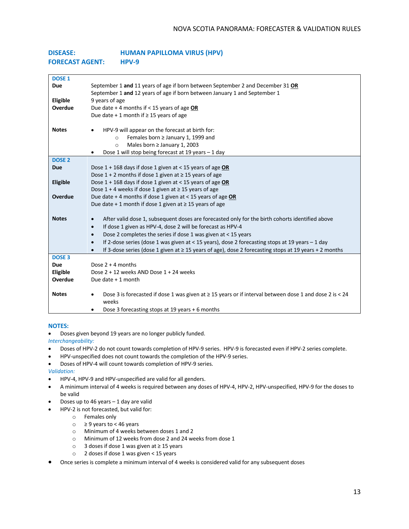| <b>DISEASE:</b>        | <b>HUMAN PAPILLOMA VIRUS (HPV)</b> |
|------------------------|------------------------------------|
| <b>FORECAST AGENT:</b> | $HPV-9$                            |

| <b>DOSE 1</b>                                       |                                                                                                         |
|-----------------------------------------------------|---------------------------------------------------------------------------------------------------------|
| <b>Due</b>                                          | September 1 and 11 years of age if born between September 2 and December 31 OR                          |
|                                                     | September 1 and 12 years of age if born between January 1 and September 1                               |
| Eligible<br>9 years of age                          |                                                                                                         |
| Overdue                                             | Due date + 4 months if < 15 years of age OR                                                             |
| Due date + 1 month if $\geq$ 15 years of age        |                                                                                                         |
| <b>Notes</b>                                        | HPV-9 will appear on the forecast at birth for:                                                         |
|                                                     |                                                                                                         |
| $\circ$                                             | Females born ≥ January 1, 1999 and<br>Males born ≥ January 1, 2003                                      |
| $\Omega$                                            | Dose 1 will stop being forecast at 19 years - 1 day                                                     |
| <b>DOSE 2</b>                                       |                                                                                                         |
| <b>Due</b>                                          | Dose $1 + 168$ days if dose 1 given at < 15 years of age OR                                             |
|                                                     | Dose $1 + 2$ months if dose 1 given at $\geq 15$ years of age                                           |
| Eligible                                            | Dose $1 + 168$ days if dose 1 given at < 15 years of age OR                                             |
|                                                     | Dose $1 + 4$ weeks if dose 1 given at $\geq 15$ years of age                                            |
| Overdue                                             | Due date + 4 months if dose 1 given at < 15 years of age OR                                             |
|                                                     | Due date + 1 month if dose 1 given at $\geq$ 15 years of age                                            |
|                                                     |                                                                                                         |
| <b>Notes</b>                                        | After valid dose 1, subsequent doses are forecasted only for the birth cohorts identified above         |
| $\bullet$                                           | If dose 1 given as HPV-4, dose 2 will be forecast as HPV-4                                              |
| $\bullet$                                           | Dose 2 completes the series if dose 1 was given at < 15 years                                           |
| $\bullet$                                           | If 2-dose series (dose 1 was given at < 15 years), dose 2 forecasting stops at 19 years $-1$ day        |
|                                                     | If 3-dose series (dose 1 given at ≥ 15 years of age), dose 2 forecasting stops at 19 years + 2 months   |
| <b>DOSE 3</b>                                       |                                                                                                         |
| Dose $2 + 4$ months<br><b>Due</b>                   |                                                                                                         |
| Eligible<br>Dose 2 + 12 weeks AND Dose 1 + 24 weeks |                                                                                                         |
| Overdue<br>Due date $+1$ month                      |                                                                                                         |
|                                                     |                                                                                                         |
| <b>Notes</b>                                        | Dose 3 is forecasted if dose 1 was given at ≥ 15 years or if interval between dose 1 and dose 2 is < 24 |
| weeks                                               |                                                                                                         |
|                                                     | Dose 3 forecasting stops at 19 years + 6 months                                                         |

#### **NOTES:**

- Doses given beyond 19 years are no longer publicly funded.
- *Interchangeability:*
- Doses of HPV-2 do not count towards completion of HPV-9 series. HPV-9 is forecasted even if HPV-2 series complete.
- HPV-unspecified does not count towards the completion of the HPV-9 series.
- Doses of HPV-4 will count towards completion of HPV-9 series.

- HPV-4, HPV-9 and HPV-unspecified are valid for all genders.
- A minimum interval of 4 weeks is required between any doses of HPV-4, HPV-2, HPV-unspecified, HPV-9 for the doses to be valid
- Doses up to 46 years  $-1$  day are valid
	- HPV-2 is not forecasted, but valid for:
		- o Females only
		- o ≥ 9 years to < 46 years
		- o Minimum of 4 weeks between doses 1 and 2
		- o Minimum of 12 weeks from dose 2 and 24 weeks from dose 1
		- o 3 doses if dose 1 was given at ≥ 15 years
		- o 2 doses if dose 1 was given < 15 years
- Once series is complete a minimum interval of 4 weeks is considered valid for any subsequent doses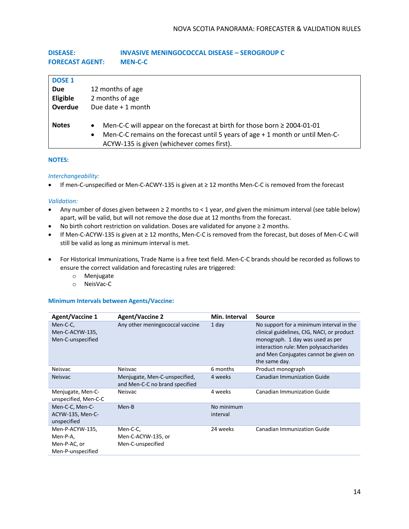# **DISEASE: INVASIVE MENINGOCOCCAL DISEASE – SEROGROUP C FORECAST AGENT: MEN-C-C**

| <b>DOSE 1</b><br><b>Due</b><br>Eligible<br>Overdue | 12 months of age<br>2 months of age<br>Due date $+1$ month                                                                                                                                                                  |
|----------------------------------------------------|-----------------------------------------------------------------------------------------------------------------------------------------------------------------------------------------------------------------------------|
| <b>Notes</b>                                       | Men-C-C will appear on the forecast at birth for those born $\geq 2004$ -01-01<br>Men-C-C remains on the forecast until 5 years of age + 1 month or until Men-C-<br>$\bullet$<br>ACYW-135 is given (whichever comes first). |

### **NOTES:**

### *Interchangeability:*

• If men-C-unspecified or Men-C-ACWY-135 is given at ≥ 12 months Men-C-C is removed from the forecast

#### *Validation:*

- Any number of doses given between ≥ 2 months to < 1 year, *and* given the minimum interval (see table below) apart, will be valid, but will not remove the dose due at 12 months from the forecast.
- No birth cohort restriction on validation. Doses are validated for anyone ≥ 2 months.
- If Men-C-ACYW-135 is given at ≥ 12 months, Men-C-C is removed from the forecast, but doses of Men-C-C will still be valid as long as minimum interval is met.
- For Historical Immunizations, Trade Name is a free text field. Men-C-C brands should be recorded as follows to ensure the correct validation and forecasting rules are triggered:
	- o Menjugate
	- o NeisVac-C

### **Minimum Intervals between Agents/Vaccine:**

| <b>Agent/Vaccine 1</b>                                           | <b>Agent/Vaccine 2</b>                                          | Min. Interval          | Source                                                                                                                                                                                                                        |
|------------------------------------------------------------------|-----------------------------------------------------------------|------------------------|-------------------------------------------------------------------------------------------------------------------------------------------------------------------------------------------------------------------------------|
| Men-C-C,<br>Men-C-ACYW-135,<br>Men-C-unspecified                 | Any other meningococcal vaccine                                 | 1 day                  | No support for a minimum interval in the<br>clinical guidelines, CIG, NACI, or product<br>monograph. 1 day was used as per<br>interaction rule: Men polysaccharides<br>and Men Conjugates cannot be given on<br>the same day. |
| <b>Neisvac</b>                                                   | Neisvac                                                         | 6 months               | Product monograph                                                                                                                                                                                                             |
| <b>Neisvac</b>                                                   | Menjugate, Men-C-unspecified,<br>and Men-C-C no brand specified | 4 weeks                | <b>Canadian Immunization Guide</b>                                                                                                                                                                                            |
| Menjugate, Men-C-<br>unspecified, Men-C-C                        | Neisvac                                                         | 4 weeks                | Canadian Immunization Guide                                                                                                                                                                                                   |
| Men-C-C, Men-C-<br>ACYW-135, Men-C-<br>unspecified               | Men-B                                                           | No minimum<br>interval |                                                                                                                                                                                                                               |
| Men-P-ACYW-135,<br>Men-P-A,<br>Men-P-AC, or<br>Men-P-unspecified | Men-C-C,<br>Men-C-ACYW-135, or<br>Men-C-unspecified             | 24 weeks               | Canadian Immunization Guide                                                                                                                                                                                                   |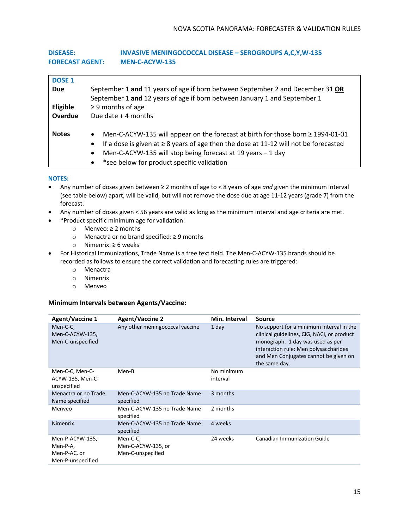# **DISEASE: INVASIVE MENINGOCOCCAL DISEASE – SEROGROUPS A,C,Y,W-135 FORECAST AGENT: MEN-C-ACYW-135**

| <b>DOSE 1</b> |                                                                                                        |  |  |
|---------------|--------------------------------------------------------------------------------------------------------|--|--|
| <b>Due</b>    | September 1 and 11 years of age if born between September 2 and December 31 OR                         |  |  |
|               | September 1 and 12 years of age if born between January 1 and September 1                              |  |  |
| Eligible      | $\geq$ 9 months of age                                                                                 |  |  |
| Overdue       | Due date $+$ 4 months                                                                                  |  |  |
|               |                                                                                                        |  |  |
| <b>Notes</b>  | Men-C-ACYW-135 will appear on the forecast at birth for those born ≥ 1994-01-01<br>$\bullet$           |  |  |
|               | If a dose is given at $\geq 8$ years of age then the dose at 11-12 will not be forecasted<br>$\bullet$ |  |  |
|               | Men-C-ACYW-135 will stop being forecast at 19 years - 1 day<br>$\bullet$                               |  |  |
|               | *see below for product specific validation<br>$\bullet$                                                |  |  |

# **NOTES:**

- Any number of doses given between ≥ 2 months of age to < 8 years of age *and* given the minimum interval (see table below) apart, will be valid, but will not remove the dose due at age 11-12 years (grade 7) from the forecast.
- Any number of doses given < 56 years are valid as long as the minimum interval and age criteria are met.
	- \*Product specific minimum age for validation:
		- o Menveo: ≥ 2 months
		- o Menactra or no brand specified: ≥ 9 months
		- o Nimenrix: ≥ 6 weeks
- For Historical Immunizations, Trade Name is a free text field. The Men-C-ACYW-135 brands should be recorded as follows to ensure the correct validation and forecasting rules are triggered:
	- o Menactra
	- o Nimenrix
	- o Menveo

# **Minimum Intervals between Agents/Vaccine:**

| <b>Agent/Vaccine 1</b>                                           | <b>Agent/Vaccine 2</b>                              | Min. Interval          | Source                                                                                                                                                                                                                        |
|------------------------------------------------------------------|-----------------------------------------------------|------------------------|-------------------------------------------------------------------------------------------------------------------------------------------------------------------------------------------------------------------------------|
| Men-C-C,<br>Men-C-ACYW-135,<br>Men-C-unspecified                 | Any other meningococcal vaccine                     | 1 day                  | No support for a minimum interval in the<br>clinical guidelines, CIG, NACI, or product<br>monograph. 1 day was used as per<br>interaction rule: Men polysaccharides<br>and Men Conjugates cannot be given on<br>the same day. |
| Men-C-C, Men-C-<br>ACYW-135, Men-C-<br>unspecified               | Men-B                                               | No minimum<br>interval |                                                                                                                                                                                                                               |
| Menactra or no Trade<br>Name specified                           | Men-C-ACYW-135 no Trade Name<br>specified           | 3 months               |                                                                                                                                                                                                                               |
| Menveo                                                           | Men-C-ACYW-135 no Trade Name<br>specified           | 2 months               |                                                                                                                                                                                                                               |
| <b>Nimenrix</b>                                                  | Men-C-ACYW-135 no Trade Name<br>specified           | 4 weeks                |                                                                                                                                                                                                                               |
| Men-P-ACYW-135,<br>Men-P-A,<br>Men-P-AC, or<br>Men-P-unspecified | Men-C-C,<br>Men-C-ACYW-135, or<br>Men-C-unspecified | 24 weeks               | <b>Canadian Immunization Guide</b>                                                                                                                                                                                            |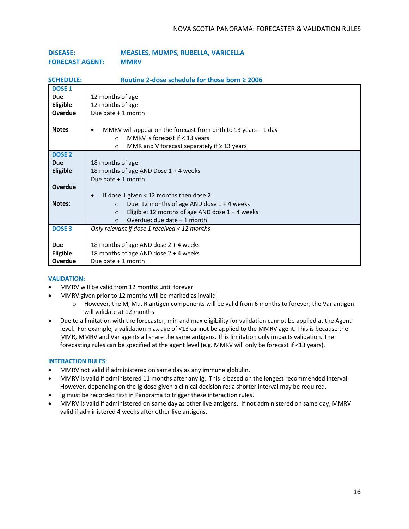| <b>DISEASE:</b>        | <b>MEASLES, MUMPS, RUBELLA, VARICELLA</b> |
|------------------------|-------------------------------------------|
| <b>FORECAST AGENT:</b> | <b>MMRV</b>                               |

| <b>SCHEDULE:</b> | Routine 2-dose schedule for those born $\geq$ 2006                            |
|------------------|-------------------------------------------------------------------------------|
| <b>DOSE 1</b>    |                                                                               |
| <b>Due</b>       | 12 months of age                                                              |
| Eligible         | 12 months of age                                                              |
| Overdue          | Due date $+1$ month                                                           |
|                  |                                                                               |
| <b>Notes</b>     | MMRV will appear on the forecast from birth to 13 years $-1$ day<br>$\bullet$ |
|                  | MMRV is forecast if $<$ 13 years<br>$\circ$                                   |
|                  | MMR and V forecast separately if $\geq 13$ years<br>$\circ$                   |
| <b>DOSE 2</b>    |                                                                               |
| <b>Due</b>       | 18 months of age                                                              |
| <b>Eligible</b>  | 18 months of age AND Dose 1 + 4 weeks                                         |
|                  | Due date $+1$ month                                                           |
| <b>Overdue</b>   |                                                                               |
|                  | If dose 1 given $<$ 12 months then dose 2:<br>$\bullet$                       |
| <b>Notes:</b>    | Due: 12 months of age AND dose $1 + 4$ weeks<br>$\Omega$                      |
|                  | Eligible: 12 months of age AND dose $1 + 4$ weeks<br>$\Omega$                 |
|                  | Overdue: due date + 1 month<br>$\bigcirc$                                     |
| <b>DOSE 3</b>    | Only relevant if dose 1 received $<$ 12 months                                |
|                  |                                                                               |
| <b>Due</b>       | 18 months of age AND dose $2 + 4$ weeks                                       |
| Eligible         | 18 months of age AND dose 2 + 4 weeks                                         |
| Overdue          | Due date + 1 month                                                            |

### **VALIDATION:**

- MMRV will be valid from 12 months until forever
- MMRV given prior to 12 months will be marked as invalid
	- $\circ$  However, the M, Mu, R antigen components will be valid from 6 months to forever; the Var antigen will validate at 12 months
- Due to a limitation with the forecaster, min and max eligibility for validation cannot be applied at the Agent level. For example, a validation max age of <13 cannot be applied to the MMRV agent. This is because the MMR, MMRV and Var agents all share the same antigens. This limitation only impacts validation. The forecasting rules can be specified at the agent level (e.g. MMRV will only be forecast if <13 years).

### **INTERACTION RULES:**

- MMRV not valid if administered on same day as any immune globulin.
- MMRV is valid if administered 11 months after any Ig. This is based on the longest recommended interval. However, depending on the Ig dose given a clinical decision re: a shorter interval may be required.
- Ig must be recorded first in Panorama to trigger these interaction rules.
- MMRV is valid if administered on same day as other live antigens. If not administered on same day, MMRV valid if administered 4 weeks after other live antigens.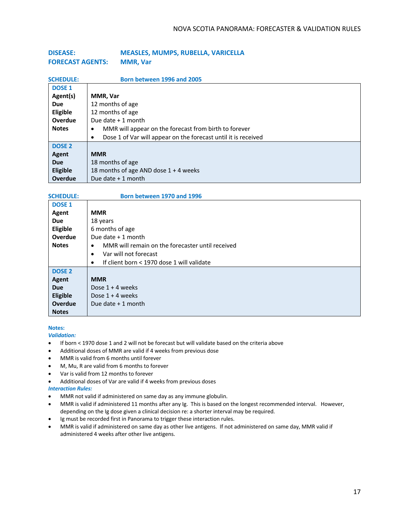| <b>DISEASE:</b>         | <b>MEASLES, MUMPS, RUBELLA, VARICELLA</b> |
|-------------------------|-------------------------------------------|
| <b>FORECAST AGENTS:</b> | <b>MMR, Var</b>                           |

| <b>SCHEDULE:</b>  | Born between 1996 and 2005                                          |
|-------------------|---------------------------------------------------------------------|
| <b>DOSE 1</b>     |                                                                     |
| Agent(s)          | MMR, Var                                                            |
| <b>Due</b>        | 12 months of age                                                    |
| Eligible          | 12 months of age                                                    |
| Overdue           | Due date + 1 month                                                  |
| <b>Notes</b>      | MMR will appear on the forecast from birth to forever<br>٠          |
|                   | Dose 1 of Var will appear on the forecast until it is received<br>٠ |
| DOSE <sub>2</sub> |                                                                     |
| Agent             | <b>MMR</b>                                                          |
| <b>Due</b>        | 18 months of age                                                    |
| Eligible          | 18 months of age AND dose $1 + 4$ weeks                             |
| <b>Overdue</b>    | Due date + 1 month                                                  |

#### **SCHEDULE: Born between 1970 and 1996**

| <b>DOSE 1</b> |                                                               |
|---------------|---------------------------------------------------------------|
| Agent         | <b>MMR</b>                                                    |
| <b>Due</b>    | 18 years                                                      |
| Eligible      | 6 months of age                                               |
| Overdue       | Due date $+1$ month                                           |
| <b>Notes</b>  | MMR will remain on the forecaster until received<br>$\bullet$ |
|               | Var will not forecast<br>$\bullet$                            |
|               | If client born < 1970 dose 1 will validate<br>$\bullet$       |
| <b>DOSE 2</b> |                                                               |
| Agent         | <b>MMR</b>                                                    |
| <b>Due</b>    | Dose $1 + 4$ weeks                                            |
| Eligible      | Dose $1 + 4$ weeks                                            |
| Overdue       | Due date $+1$ month                                           |
| <b>Notes</b>  |                                                               |

#### **Notes:**

- If born < 1970 dose 1 and 2 will not be forecast but will validate based on the criteria above
- Additional doses of MMR are valid if 4 weeks from previous dose
- MMR is valid from 6 months until forever
- M, Mu, R are valid from 6 months to forever
- Var is valid from 12 months to forever
- Additional doses of Var are valid if 4 weeks from previous doses
- *Interaction Rules:*
- MMR not valid if administered on same day as any immune globulin.
- MMR is valid if administered 11 months after any Ig. This is based on the longest recommended interval. However, depending on the Ig dose given a clinical decision re: a shorter interval may be required.
- Ig must be recorded first in Panorama to trigger these interaction rules.
- MMR is valid if administered on same day as other live antigens. If not administered on same day, MMR valid if administered 4 weeks after other live antigens.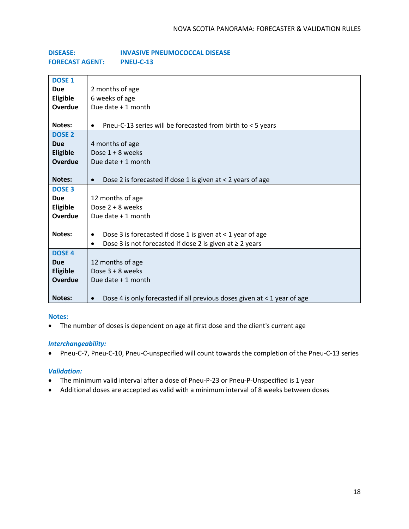| <b>DISEASE:</b>        | <b>INVASIVE PNEUMOCOCCAL DISEASE</b> |
|------------------------|--------------------------------------|
| <b>FORECAST AGENT:</b> | PNEU-C-13                            |

| <b>DOSE 1</b>   |                                                                                       |
|-----------------|---------------------------------------------------------------------------------------|
| <b>Due</b>      | 2 months of age                                                                       |
| Eligible        | 6 weeks of age                                                                        |
| <b>Overdue</b>  | Due date + 1 month                                                                    |
|                 |                                                                                       |
| <b>Notes:</b>   | Pneu-C-13 series will be forecasted from birth to < 5 years<br>$\bullet$              |
| <b>DOSE 2</b>   |                                                                                       |
| <b>Due</b>      | 4 months of age                                                                       |
| <b>Eligible</b> | Dose $1 + 8$ weeks                                                                    |
| <b>Overdue</b>  | Due date + 1 month                                                                    |
|                 |                                                                                       |
| <b>Notes:</b>   | Dose 2 is forecasted if dose 1 is given at < 2 years of age<br>$\bullet$              |
| <b>DOSE 3</b>   |                                                                                       |
| <b>Due</b>      | 12 months of age                                                                      |
| Eligible        | Dose 2 + 8 weeks                                                                      |
| Overdue         | Due date $+1$ month                                                                   |
|                 |                                                                                       |
| Notes:          | Dose 3 is forecasted if dose 1 is given at < 1 year of age<br>$\bullet$               |
|                 | Dose 3 is not forecasted if dose 2 is given at $\geq$ 2 years<br>$\bullet$            |
| <b>DOSE 4</b>   |                                                                                       |
| <b>Due</b>      | 12 months of age                                                                      |
| <b>Eligible</b> | Dose $3 + 8$ weeks                                                                    |
| Overdue         | Due date + 1 month                                                                    |
|                 |                                                                                       |
| <b>Notes:</b>   | Dose 4 is only forecasted if all previous doses given at < 1 year of age<br>$\bullet$ |

# **Notes:**

• The number of doses is dependent on age at first dose and the client's current age

# *Interchangeability:*

• Pneu-C-7, Pneu-C-10, Pneu-C-unspecified will count towards the completion of the Pneu-C-13 series

- The minimum valid interval after a dose of Pneu-P-23 or Pneu-P-Unspecified is 1 year
- Additional doses are accepted as valid with a minimum interval of 8 weeks between doses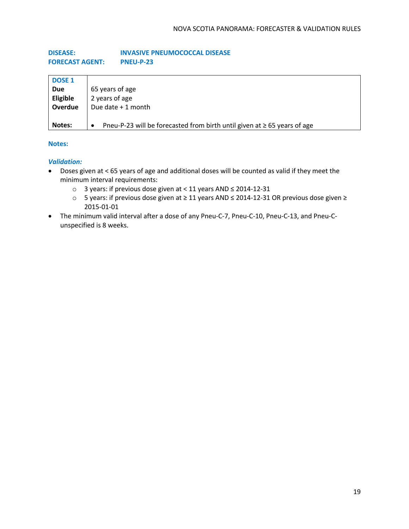# **DISEASE: INVASIVE PNEUMOCOCCAL DISEASE FORECAST AGENT: PNEU-P-23**

| <b>DOSE 1</b>   |                                                                                            |
|-----------------|--------------------------------------------------------------------------------------------|
| <b>Due</b>      | 65 years of age                                                                            |
| <b>Eligible</b> | 2 years of age                                                                             |
| Overdue         | Due date $+1$ month                                                                        |
| Notes:          | Pneu-P-23 will be forecasted from birth until given at $\geq$ 65 years of age<br>$\bullet$ |

# **Notes:**

- Doses given at < 65 years of age and additional doses will be counted as valid if they meet the minimum interval requirements:
	- o 3 years: if previous dose given at < 11 years AND ≤ 2014-12-31
	- o 5 years: if previous dose given at ≥ 11 years AND ≤ 2014-12-31 OR previous dose given ≥ 2015-01-01
- The minimum valid interval after a dose of any Pneu-C-7, Pneu-C-10, Pneu-C-13, and Pneu-Cunspecified is 8 weeks.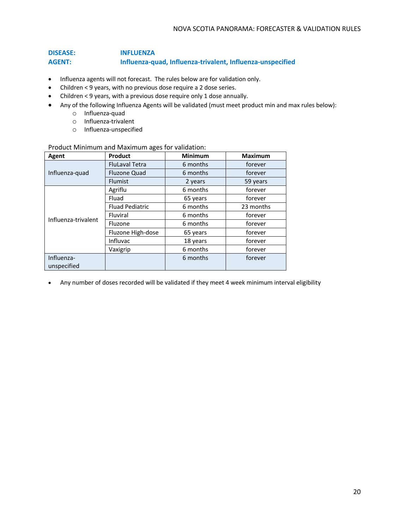# **DISEASE: INFLUENZA AGENT: Influenza-quad, Influenza-trivalent, Influenza-unspecified**

- Influenza agents will not forecast. The rules below are for validation only.
- Children < 9 years, with no previous dose require a 2 dose series.
- Children < 9 years, with a previous dose require only 1 dose annually.
- Any of the following Influenza Agents will be validated (must meet product min and max rules below):
	- o Influenza-quad
	- o Influenza-trivalent
	- o Influenza-unspecified

# Product Minimum and Maximum ages for validation:

| Agent               | Product                | <b>Minimum</b> | <b>Maximum</b> |
|---------------------|------------------------|----------------|----------------|
|                     | <b>FluLaval Tetra</b>  | 6 months       | forever        |
| Influenza-quad      | <b>Fluzone Quad</b>    | 6 months       | forever        |
|                     | <b>Flumist</b>         | 2 years        | 59 years       |
|                     | Agriflu                | 6 months       | forever        |
|                     | Fluad                  | 65 years       | forever        |
|                     | <b>Fluad Pediatric</b> | 6 months       | 23 months      |
| Influenza-trivalent | Fluviral               | 6 months       | forever        |
|                     | Fluzone                | 6 months       | forever        |
|                     | Fluzone High-dose      | 65 years       | forever        |
|                     | Influvac               | 18 years       | forever        |
|                     | Vaxigrip               | 6 months       | forever        |
| Influenza-          |                        | 6 months       | forever        |
| unspecified         |                        |                |                |

• Any number of doses recorded will be validated if they meet 4 week minimum interval eligibility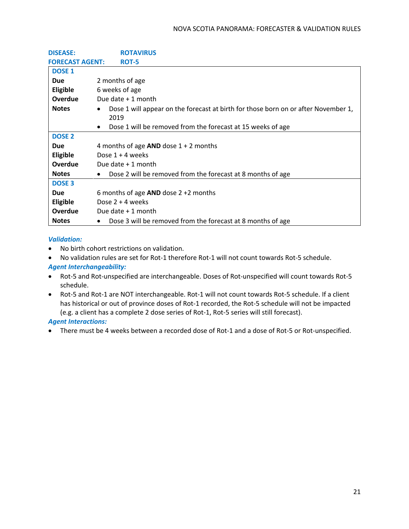| <b>DISEASE:</b>        | <b>ROTAVIRUS</b>                                                                                        |  |
|------------------------|---------------------------------------------------------------------------------------------------------|--|
| <b>FORECAST AGENT:</b> | ROT-5                                                                                                   |  |
| <b>DOSE 1</b>          |                                                                                                         |  |
| <b>Due</b>             | 2 months of age                                                                                         |  |
| Eligible               | 6 weeks of age                                                                                          |  |
| <b>Overdue</b>         | Due date + 1 month                                                                                      |  |
| <b>Notes</b>           | Dose 1 will appear on the forecast at birth for those born on or after November 1,<br>$\bullet$<br>2019 |  |
|                        | Dose 1 will be removed from the forecast at 15 weeks of age<br>$\bullet$                                |  |
| <b>DOSE 2</b>          |                                                                                                         |  |
| <b>Due</b>             | 4 months of age $AND$ dose $1 + 2$ months                                                               |  |
| Eligible               | Dose $1 + 4$ weeks                                                                                      |  |
| Overdue                | Due date + 1 month                                                                                      |  |
| <b>Notes</b>           | Dose 2 will be removed from the forecast at 8 months of age<br>$\bullet$                                |  |
| <b>DOSE 3</b>          |                                                                                                         |  |
| <b>Due</b>             | 6 months of age $AND$ dose $2 + 2$ months                                                               |  |
| <b>Eligible</b>        | Dose $2 + 4$ weeks                                                                                      |  |
| <b>Overdue</b>         | Due date $+1$ month                                                                                     |  |
| <b>Notes</b>           | Dose 3 will be removed from the forecast at 8 months of age<br>$\bullet$                                |  |

# *Validation:*

- No birth cohort restrictions on validation.
- No validation rules are set for Rot-1 therefore Rot-1 will not count towards Rot-5 schedule.

# *Agent Interchangeability:*

- Rot-5 and Rot-unspecified are interchangeable. Doses of Rot-unspecified will count towards Rot-5 schedule.
- Rot-5 and Rot-1 are NOT interchangeable. Rot-1 will not count towards Rot-5 schedule. If a client has historical or out of province doses of Rot-1 recorded, the Rot-5 schedule will not be impacted (e.g. a client has a complete 2 dose series of Rot-1, Rot-5 series will still forecast).

# *Agent Interactions:*

• There must be 4 weeks between a recorded dose of Rot-1 and a dose of Rot-5 or Rot-unspecified.